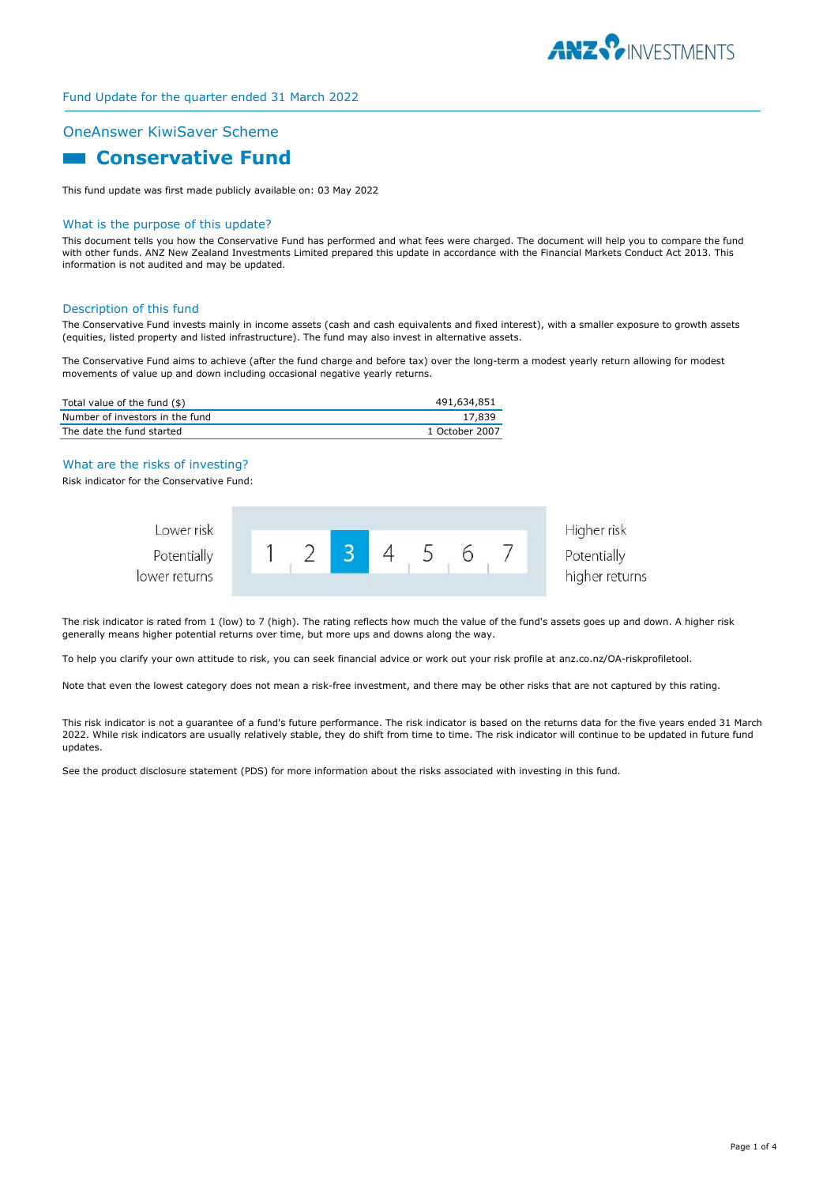

# Fund Update for the quarter ended 31 March 2022

### OneAnswer KiwiSaver Scheme

# **Conservative Fund**

This fund update was first made publicly available on: 03 May 2022

### What is the purpose of this update?

This document tells you how the Conservative Fund has performed and what fees were charged. The document will help you to compare the fund with other funds. ANZ New Zealand Investments Limited prepared this update in accordance with the Financial Markets Conduct Act 2013. This information is not audited and may be updated.

#### Description of this fund

The Conservative Fund invests mainly in income assets (cash and cash equivalents and fixed interest), with a smaller exposure to growth assets (equities, listed property and listed infrastructure). The fund may also invest in alternative assets.

The Conservative Fund aims to achieve (after the fund charge and before tax) over the long-term a modest yearly return allowing for modest movements of value up and down including occasional negative yearly returns.

| Total value of the fund (\$)    | 491,634,851    |
|---------------------------------|----------------|
| Number of investors in the fund | 17.839         |
| The date the fund started       | 1 October 2007 |

#### What are the risks of investing?

Risk indicator for the Conservative Fund:



The risk indicator is rated from 1 (low) to 7 (high). The rating reflects how much the value of the fund's assets goes up and down. A higher risk generally means higher potential returns over time, but more ups and downs along the way.

To help you clarify your own attitude to risk, you can seek financial advice or work out your risk profile at anz.co.nz/OA-riskprofiletool.

Note that even the lowest category does not mean a risk-free investment, and there may be other risks that are not captured by this rating.

This risk indicator is not a guarantee of a fund's future performance. The risk indicator is based on the returns data for the five years ended 31 March 2022. While risk indicators are usually relatively stable, they do shift from time to time. The risk indicator will continue to be updated in future fund updates.

See the product disclosure statement (PDS) for more information about the risks associated with investing in this fund.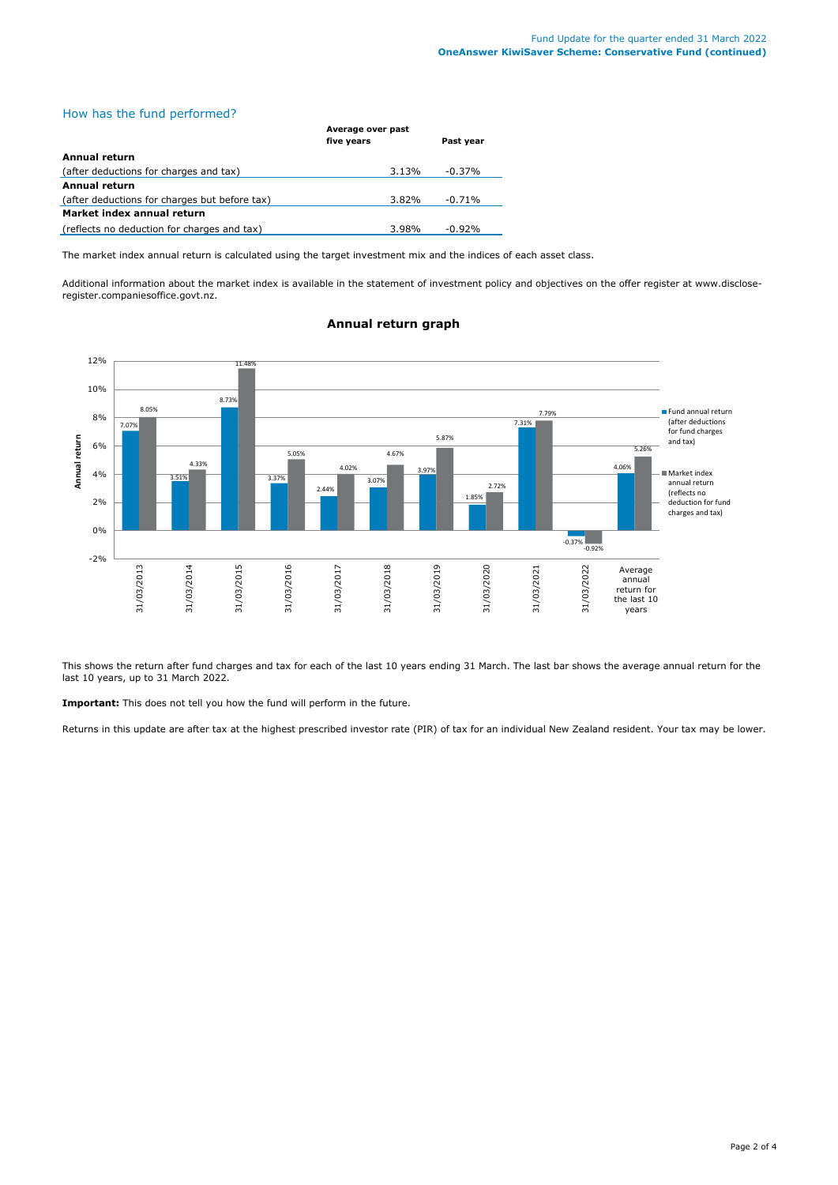# How has the fund performed?

|                                               | Average over past |           |  |
|-----------------------------------------------|-------------------|-----------|--|
|                                               | five years        | Past year |  |
| Annual return                                 |                   |           |  |
| (after deductions for charges and tax)        | 3.13%             | $-0.37\%$ |  |
| Annual return                                 |                   |           |  |
| (after deductions for charges but before tax) | 3.82%             | $-0.71%$  |  |
| Market index annual return                    |                   |           |  |
| (reflects no deduction for charges and tax)   | 3.98%             | $-0.92%$  |  |

The market index annual return is calculated using the target investment mix and the indices of each asset class.

Additional information about the market index is available in the statement of investment policy and objectives on the offer register at www.discloseregister.companiesoffice.govt.nz.



### **Annual return graph**

This shows the return after fund charges and tax for each of the last 10 years ending 31 March. The last bar shows the average annual return for the last 10 years, up to 31 March 2022.

**Important:** This does not tell you how the fund will perform in the future.

Returns in this update are after tax at the highest prescribed investor rate (PIR) of tax for an individual New Zealand resident. Your tax may be lower.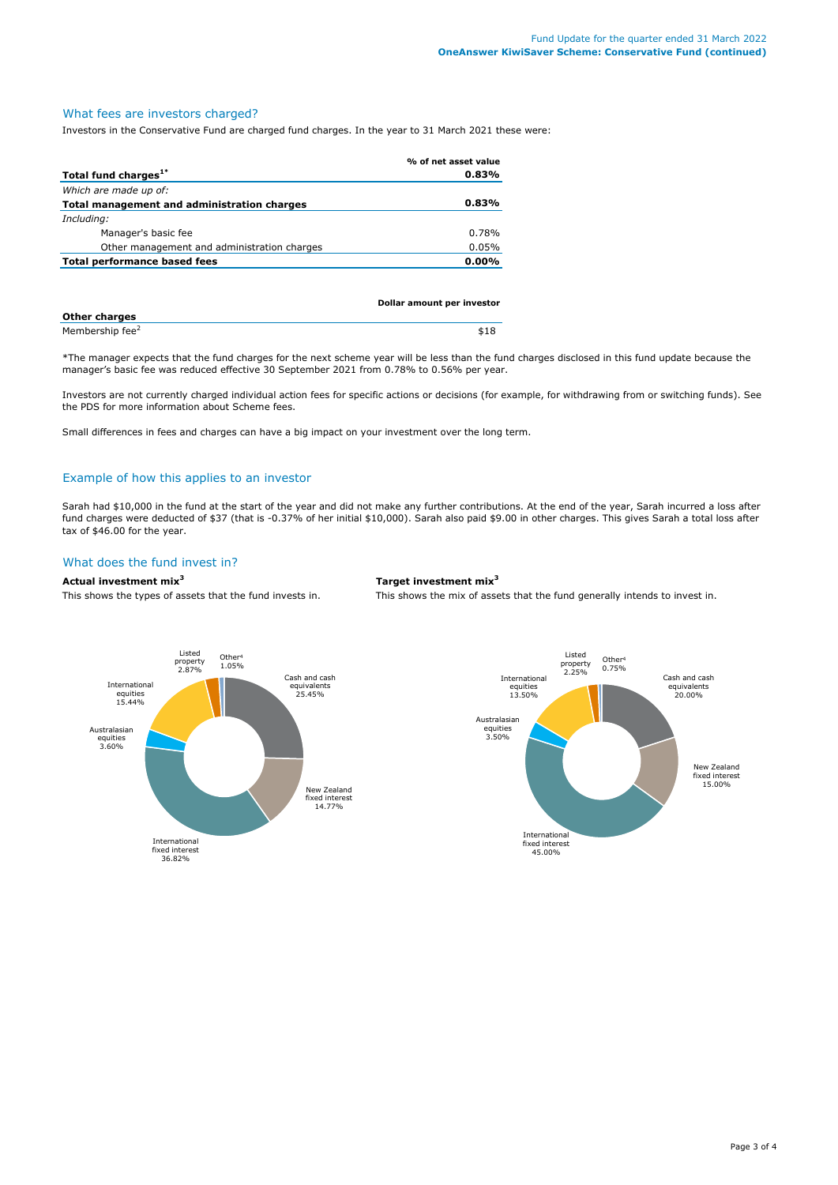### What fees are investors charged?

Investors in the Conservative Fund are charged fund charges. In the year to 31 March 2021 these were:

|                                             | % of net asset value |
|---------------------------------------------|----------------------|
| Total fund charges <sup>1*</sup>            | 0.83%                |
| Which are made up of:                       |                      |
| Total management and administration charges | 0.83%                |
| Including:                                  |                      |
| Manager's basic fee                         | 0.78%                |
| Other management and administration charges | 0.05%                |
| Total performance based fees                | $0.00\%$             |
|                                             |                      |

|                             | Dollar amount per investor |  |
|-----------------------------|----------------------------|--|
| <b>Other charges</b>        |                            |  |
| Membership fee <sup>2</sup> | \$18                       |  |

\*The manager expects that the fund charges for the next scheme year will be less than the fund charges disclosed in this fund update because the manager's basic fee was reduced effective 30 September 2021 from 0.78% to 0.56% per year.

Investors are not currently charged individual action fees for specific actions or decisions (for example, for withdrawing from or switching funds). See the PDS for more information about Scheme fees.

Small differences in fees and charges can have a big impact on your investment over the long term.

## Example of how this applies to an investor

Sarah had \$10,000 in the fund at the start of the year and did not make any further contributions. At the end of the year, Sarah incurred a loss after fund charges were deducted of \$37 (that is -0.37% of her initial \$10,000). Sarah also paid \$9.00 in other charges. This gives Sarah a total loss after tax of \$46.00 for the year.

### What does the fund invest in?

### **Actual investment mix<sup>3</sup> Target investment mix<sup>3</sup>**

This shows the types of assets that the fund invests in. This shows the mix of assets that the fund generally intends to invest in.